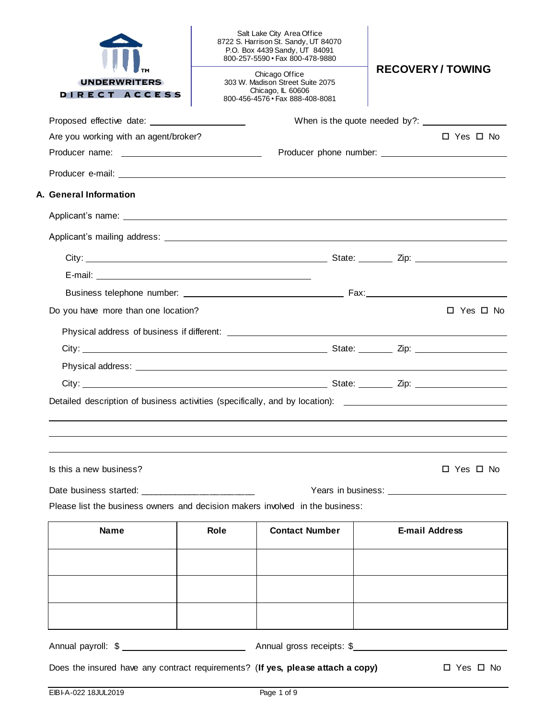| Does the insured have any contract requirements? (If yes, please attach a copy) |      |                                                                                                                                        | $\Box$ Yes $\Box$ No                                                                                          |
|---------------------------------------------------------------------------------|------|----------------------------------------------------------------------------------------------------------------------------------------|---------------------------------------------------------------------------------------------------------------|
|                                                                                 |      |                                                                                                                                        |                                                                                                               |
|                                                                                 |      |                                                                                                                                        |                                                                                                               |
| <b>Name</b>                                                                     | Role | <b>Contact Number</b>                                                                                                                  | <b>E-mail Address</b>                                                                                         |
| Please list the business owners and decision makers involved in the business:   |      |                                                                                                                                        |                                                                                                               |
| Date business started: ______________________                                   |      |                                                                                                                                        |                                                                                                               |
| Is this a new business?                                                         |      |                                                                                                                                        | $\Box$ Yes $\Box$ No                                                                                          |
|                                                                                 |      |                                                                                                                                        |                                                                                                               |
|                                                                                 |      |                                                                                                                                        | Detailed description of business activities (specifically, and by location): ________________________________ |
|                                                                                 |      |                                                                                                                                        |                                                                                                               |
|                                                                                 |      |                                                                                                                                        |                                                                                                               |
|                                                                                 |      |                                                                                                                                        |                                                                                                               |
| Do you have more than one location?                                             |      |                                                                                                                                        |                                                                                                               |
|                                                                                 |      |                                                                                                                                        | $\Box$ Yes $\Box$ No                                                                                          |
|                                                                                 |      |                                                                                                                                        |                                                                                                               |
|                                                                                 |      |                                                                                                                                        |                                                                                                               |
|                                                                                 |      |                                                                                                                                        |                                                                                                               |
|                                                                                 |      |                                                                                                                                        |                                                                                                               |
| A. General Information                                                          |      |                                                                                                                                        |                                                                                                               |
|                                                                                 |      |                                                                                                                                        |                                                                                                               |
|                                                                                 |      |                                                                                                                                        |                                                                                                               |
| Are you working with an agent/broker?                                           |      |                                                                                                                                        | $\Box$ Yes $\Box$ No.                                                                                         |
|                                                                                 |      |                                                                                                                                        |                                                                                                               |
| <b>UNDERWRITERS</b><br>DIRECT ACCESS                                            |      | Chicago Office<br>303 W. Madison Street Suite 2075<br>Chicago, IL 60606<br>800-456-4576 · Fax 888-408-8081                             |                                                                                                               |
|                                                                                 |      | Salt Lake City Area Office<br>8722 S. Harrison St. Sandy, UT 84070<br>P.O. Box 4439 Sandy, UT 84091<br>800-257-5590 · Fax 800-478-9880 | <b>RECOVERY/TOWING</b>                                                                                        |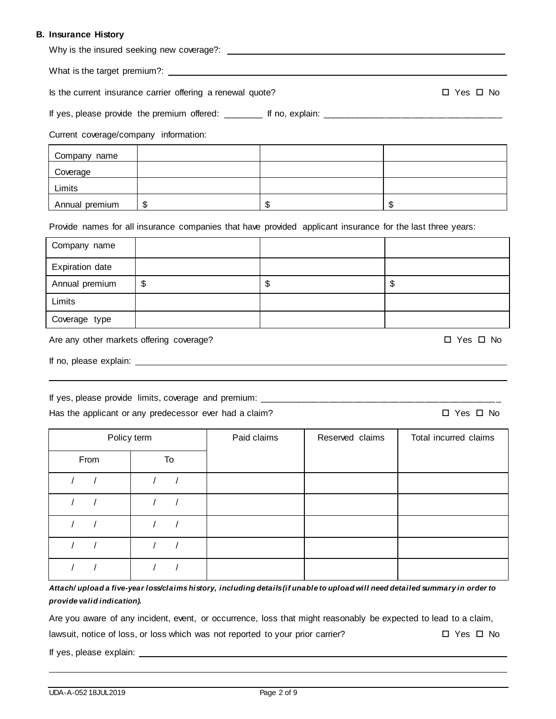# **B. Insurance History**

| $11301$ anc $\sigma$ Thour y                               |    |             |                 |                                                                                                            |
|------------------------------------------------------------|----|-------------|-----------------|------------------------------------------------------------------------------------------------------------|
|                                                            |    |             |                 |                                                                                                            |
| Is the current insurance carrier offering a renewal quote? |    |             |                 | □ Yes □ No                                                                                                 |
|                                                            |    |             |                 |                                                                                                            |
| Current coverage/company information:                      |    |             |                 |                                                                                                            |
| Company name                                               |    |             |                 |                                                                                                            |
| Coverage                                                   |    |             |                 |                                                                                                            |
| Limits                                                     |    |             |                 |                                                                                                            |
| Annual premium                                             | \$ |             | \$              | $\mathfrak{S}$                                                                                             |
|                                                            |    |             |                 | Provide names for all insurance companies that have provided applicant insurance for the last three years: |
| Company name                                               |    |             |                 |                                                                                                            |
| <b>Expiration date</b>                                     |    |             |                 |                                                                                                            |
| Annual premium                                             | \$ |             | \$              | \$                                                                                                         |
| Limits                                                     |    |             |                 |                                                                                                            |
| Coverage type                                              |    |             |                 |                                                                                                            |
| Are any other markets offering coverage?                   |    |             |                 | □ Yes □ No                                                                                                 |
|                                                            |    |             |                 |                                                                                                            |
|                                                            |    |             |                 |                                                                                                            |
| Has the applicant or any predecessor ever had a claim?     |    |             |                 | $\Box$ Yes $\Box$ No                                                                                       |
| Policy term                                                |    | Paid claims | Reserved claims | Total incurred claims                                                                                      |
| From                                                       | To |             |                 |                                                                                                            |
|                                                            |    |             |                 |                                                                                                            |

*Attach/ upload a five-year loss/claims history, including details (if unable to upload will need detailed summary in order to provide valid indication).*

Are you aware of any incident, event, or occurrence, loss that might reasonably be expected to lead to a claim,

lawsuit, notice of loss, or loss which was not reported to your prior carrier?  $\square$  Yes  $\square$  No

If yes, please explain:

/ / / /

/ / / /

/ / / /

/ / / /

/ / / /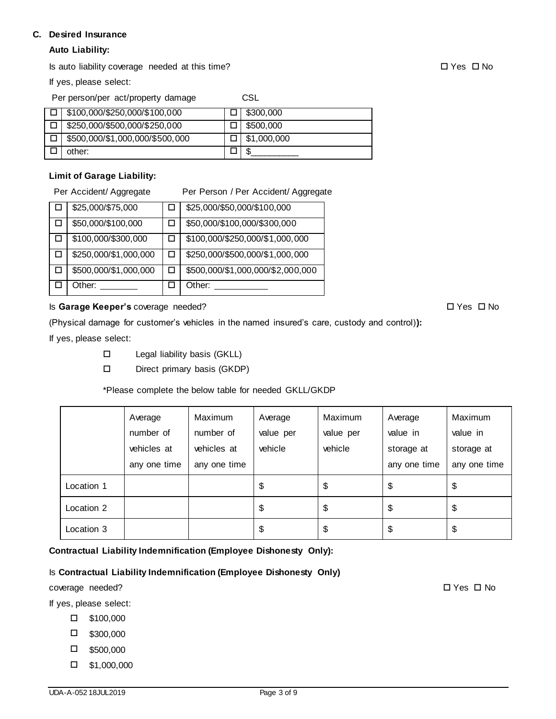## **C. Desired Insurance**

# **Auto Liability:**

Is auto liability coverage needed at this time? Yes No

If yes, please select:

Per person/per act/property damage CSL

| $\Box$ \$100,000/\$250,000/\$100,000 | \$300,000               |
|--------------------------------------|-------------------------|
| \$250,000/\$500,000/\$250,000        | \$500,000               |
| \$500,000/\$1,000,000/\$500,000      | $\parallel$ \$1,000,000 |
| other:                               |                         |

# **Limit of Garage Liability:**

Per Accident/ Aggregate Per Person / Per Accident/ Aggregate

|   | \$25,000/\$75,000     | \$25,000/\$50,000/\$100,000       |
|---|-----------------------|-----------------------------------|
| П | \$50,000/\$100,000    | \$50,000/\$100,000/\$300,000      |
| ப | \$100,000/\$300,000   | \$100,000/\$250,000/\$1,000,000   |
|   | \$250,000/\$1,000,000 | \$250,000/\$500,000/\$1,000,000   |
|   | \$500,000/\$1,000,000 | \$500,000/\$1,000,000/\$2,000,000 |
|   | Other:                | Other:                            |

## Is **Garage Keeper's** coverage needed? 
■ Yes **D** No

(Physical damage for customer's vehicles in the named insured's care, custody and control)**):**

If yes, please select:

- Legal liability basis (GKLL)
- Direct primary basis (GKDP)

\*Please complete the below table for needed GKLL/GKDP

|            | Average      | Maximum      | Average   | Maximum   | Average      | Maximum      |
|------------|--------------|--------------|-----------|-----------|--------------|--------------|
|            | number of    | number of    | value per | value per | value in     | value in     |
|            | vehicles at  | vehicles at  | vehicle   | vehicle   | storage at   | storage at   |
|            | any one time | any one time |           |           | any one time | any one time |
| Location 1 |              |              | \$        | \$        | \$           | \$           |
| Location 2 |              |              | \$        | \$        | \$           | \$           |
| Location 3 |              |              | \$        | \$        | \$           | \$           |

**Contractual Liability Indemnification (Employee Dishonesty Only):**

# Is **Contractual Liability Indemnification (Employee Dishonesty Only)**

coverage needed?  $\square$  Yes  $\square$  No

If yes, please select:

- \$100,000
- $\square$  \$300,000
- $\square$  \$500,000
- $\Box$  \$1,000,000

UDA-A-052 18JUL2019 Page 3 of 9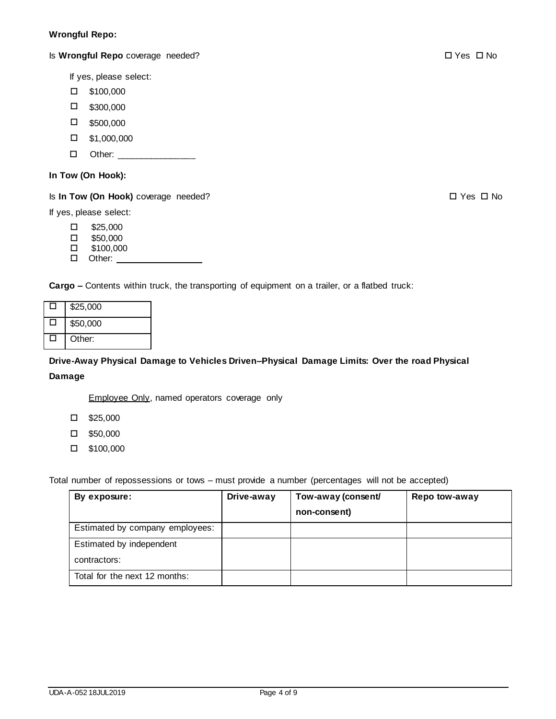## **Wrongful Repo:**

Is **Wrongful Repo** coverage needed? Yes No

If yes, please select:

- \$100,000
- $\square$  \$300,000
- $\square$  \$500,000
- $\Box$  \$1,000,000
- □ Other: \_\_\_\_\_\_\_\_\_\_\_\_\_\_\_\_\_

### **In Tow (On Hook):**

Is **In Tow (On Hook)** coverage needed? 
<br>
■ Yes □ No

If yes, please select:

- $\square$  \$25,000
- $\Box$  \$50,000
- \$100,000
- □ Other:

**Cargo –** Contents within truck, the transporting of equipment on a trailer, or a flatbed truck:

|   | \$25,000 |
|---|----------|
| H | \$50,000 |
|   | Other:   |

**Drive-Away Physical Damage to Vehicles Driven–Physical Damage Limits: Over the road Physical** 

## **Damage**

Employee Only, named operators coverage only

- $\square$  \$25,000
- $\square$  \$50,000
- \$100,000

Total number of repossessions or tows – must provide a number (percentages will not be accepted)

| By exposure:                    | Drive-away | Tow-away (consent/<br>non-consent) | Repo tow-away |
|---------------------------------|------------|------------------------------------|---------------|
| Estimated by company employees: |            |                                    |               |
| Estimated by independent        |            |                                    |               |
| contractors:                    |            |                                    |               |
| Total for the next 12 months:   |            |                                    |               |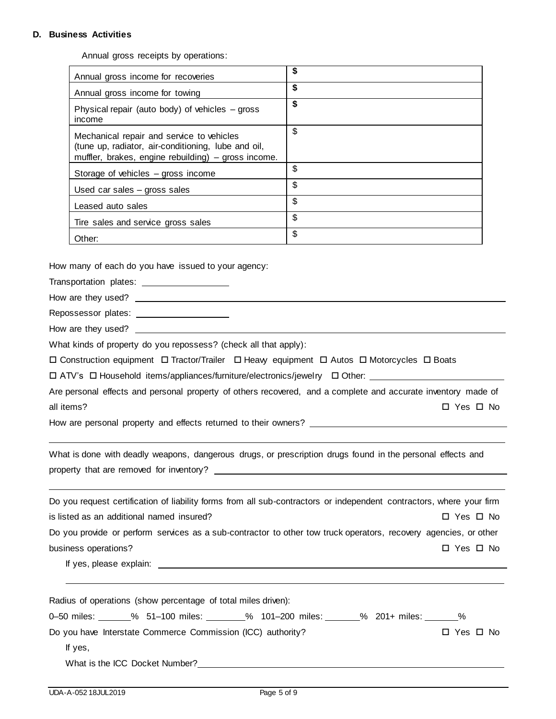### **D. Business Activities**

Annual gross receipts by operations:

| Annual gross income for recoveries                                                                                                                      | \$ |
|---------------------------------------------------------------------------------------------------------------------------------------------------------|----|
| Annual gross income for towing                                                                                                                          | \$ |
| Physical repair (auto body) of vehicles $-$ gross<br>income                                                                                             | \$ |
| Mechanical repair and service to vehicles<br>(tune up, radiator, air-conditioning, lube and oil,<br>muffler, brakes, engine rebuilding) - gross income. | \$ |
| Storage of vehicles – gross income                                                                                                                      | \$ |
| Used car sales $-$ gross sales                                                                                                                          | \$ |
| Leased auto sales                                                                                                                                       | \$ |
| Tire sales and service gross sales                                                                                                                      | \$ |
| Other:                                                                                                                                                  | \$ |

How many of each do you have issued to your agency:

Transportation plates:

How are they used?

Repossessor plates:

How are they used?

What kinds of property do you repossess? (check all that apply):

 $\Box$  Construction equipment  $\Box$  Tractor/Trailer  $\Box$  Heavy equipment  $\Box$  Autos  $\Box$  Motorcycles  $\Box$  Boats

 $\Box$  ATV's  $\Box$  Household items/appliances/furniture/electronics/jewelry  $\Box$  Other:

|            | Are personal effects and personal property of others recovered, and a complete and accurate inventory made of |  |  |  |  |            |
|------------|---------------------------------------------------------------------------------------------------------------|--|--|--|--|------------|
| all items? |                                                                                                               |  |  |  |  | □ Yes □ No |

l

How are personal property and effects returned to their owners?

What is done with deadly weapons, dangerous drugs, or prescription drugs found in the personal effects and property that are removed for inventory?

Do you request certification of liability forms from all sub-contractors or independent contractors, where your firm is listed as an additional named insured?  $\Box$  Yes  $\Box$  No Do you provide or perform services as a sub-contractor to other tow truck operators, recovery agencies, or other business operations?  $\square$  Yes  $\square$  No

If yes, please explain:

| Radius of operations (show percentage of total miles driven):                                         |            |
|-------------------------------------------------------------------------------------------------------|------------|
| 0-50 miles: 61-100 miles: 61-100 miles: 61-100 miles: 61-100 miles: 61-200 miles: 6201+ miles: 64-100 |            |
| Do you have Interstate Commerce Commission (ICC) authority?                                           | □ Yes □ No |
| If yes,                                                                                               |            |
| What is the ICC Docket Number?                                                                        |            |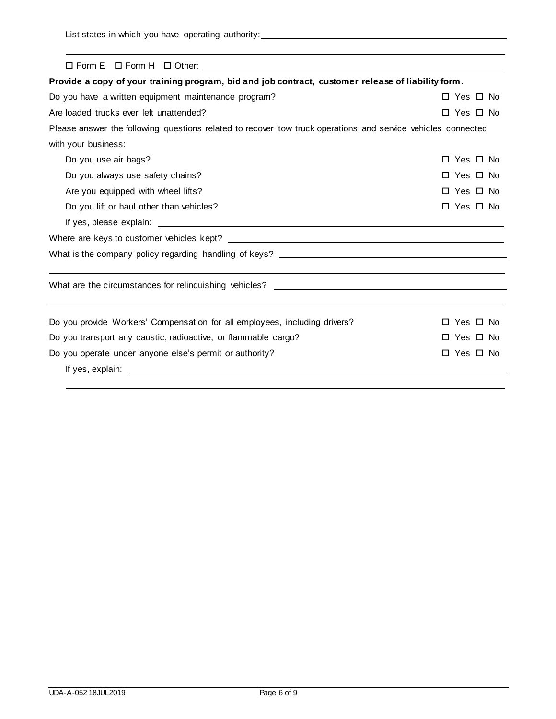| $\Box$ Form E $\Box$ Form H $\Box$ Other:                                                                    |                      |
|--------------------------------------------------------------------------------------------------------------|----------------------|
| Provide a copy of your training program, bid and job contract, customer release of liability form.           |                      |
| Do you have a written equipment maintenance program?                                                         | □ Yes □ No           |
| Are loaded trucks ever left unattended?                                                                      | □ Yes □ No           |
| Please answer the following questions related to recover tow truck operations and service vehicles connected |                      |
| with your business:                                                                                          |                      |
| Do you use air bags?                                                                                         | Yes $\Box$ No<br>□   |
| Do you always use safety chains?                                                                             | □ Yes □ No           |
| Are you equipped with wheel lifts?                                                                           | $\Box$ Yes $\Box$ No |
| Do you lift or haul other than vehicles?                                                                     | □ Yes □ No           |
|                                                                                                              |                      |
|                                                                                                              |                      |
|                                                                                                              |                      |
|                                                                                                              |                      |
| What are the circumstances for relinquishing vehicles? __________________________                            |                      |
|                                                                                                              |                      |
| Do you provide Workers' Compensation for all employees, including drivers?                                   | Yes □ No<br>$\Box$   |
| Do you transport any caustic, radioactive, or flammable cargo?                                               | Yes $\Box$ No        |
| Do you operate under anyone else's permit or authority?                                                      | □ Yes □ No           |
|                                                                                                              |                      |
|                                                                                                              |                      |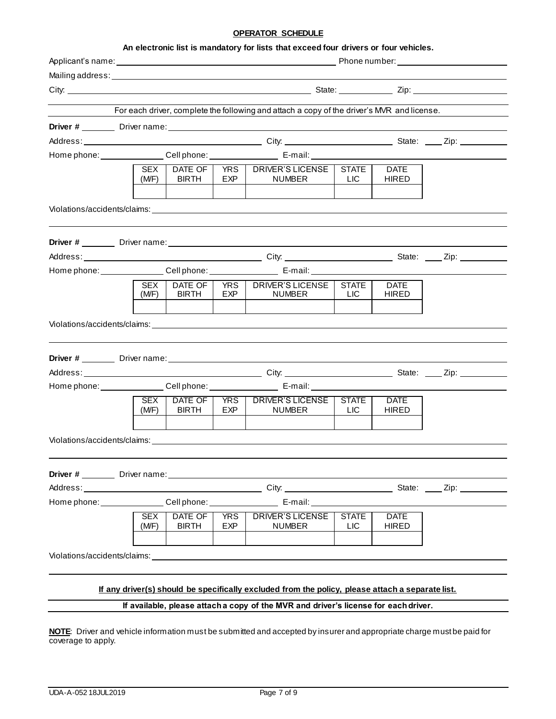### **OPERATOR SCHEDULE**

|                     |                         |            | Mailing address: University of the Community of the Community of the Community of the Community of the Community of the Community of the Community of the Community of the Community of the Community of the Community of the  |                                 |                             |  |
|---------------------|-------------------------|------------|--------------------------------------------------------------------------------------------------------------------------------------------------------------------------------------------------------------------------------|---------------------------------|-----------------------------|--|
|                     |                         |            |                                                                                                                                                                                                                                |                                 |                             |  |
|                     |                         |            | For each driver, complete the following and attach a copy of the driver's MVR and license.                                                                                                                                     |                                 |                             |  |
|                     |                         |            |                                                                                                                                                                                                                                |                                 |                             |  |
|                     |                         |            |                                                                                                                                                                                                                                |                                 |                             |  |
|                     |                         |            |                                                                                                                                                                                                                                |                                 |                             |  |
| SEX I<br>(M/F)      | DATE OF<br><b>BIRTH</b> | EXP.       | YRS   DRIVER'S LICENSE  <br><b>NUMBER</b>                                                                                                                                                                                      | <b>STATE</b><br><b>LIC</b>      | <b>DATE</b><br><b>HIRED</b> |  |
|                     |                         |            | Violations/accidents/claims: University of the Contract of the Contract of the Contract of the Contract of the                                                                                                                 |                                 |                             |  |
|                     |                         |            |                                                                                                                                                                                                                                |                                 |                             |  |
|                     |                         |            |                                                                                                                                                                                                                                |                                 |                             |  |
|                     |                         |            | Home phone: _______________Cell phone: _________________________ E-mail: ______________                                                                                                                                        |                                 |                             |  |
|                     |                         | YRS        | DRIVER'S LICENSE                                                                                                                                                                                                               | <b>STATE</b>                    | <b>DATE</b>                 |  |
| SEX<br>(M/F)        | DATE OF<br><b>BIRTH</b> | EXP        | <b>NUMBER</b>                                                                                                                                                                                                                  | <b>LIC</b>                      | <b>HIRED</b>                |  |
|                     |                         |            |                                                                                                                                                                                                                                |                                 |                             |  |
|                     |                         |            | Violations/accidents/claims: Note and the contract of the contract of the contract of the contract of the contract of the contract of the contract of the contract of the contract of the contract of the contract of the cont |                                 |                             |  |
|                     |                         |            |                                                                                                                                                                                                                                |                                 |                             |  |
|                     |                         |            |                                                                                                                                                                                                                                |                                 |                             |  |
|                     |                         |            |                                                                                                                                                                                                                                |                                 |                             |  |
|                     |                         |            | Home phone: _______________Cell phone: _________________________E-mail: ________________                                                                                                                                       |                                 |                             |  |
| <b>SEX</b><br>(MF)  | DATE OF<br><b>BIRTH</b> | EXP        | YRS   DRIVER'S LICENSE  <br>NUMBER                                                                                                                                                                                             | <b>STATE</b><br>LIC <sub></sub> | <b>DATE</b><br><b>HIRED</b> |  |
|                     |                         |            |                                                                                                                                                                                                                                |                                 |                             |  |
|                     |                         |            |                                                                                                                                                                                                                                |                                 |                             |  |
|                     |                         |            |                                                                                                                                                                                                                                |                                 |                             |  |
|                     |                         |            |                                                                                                                                                                                                                                |                                 |                             |  |
|                     |                         |            |                                                                                                                                                                                                                                |                                 |                             |  |
|                     |                         |            |                                                                                                                                                                                                                                |                                 |                             |  |
| <b>SEX</b><br>(M/F) | DATE OF<br><b>BIRTH</b> | <b>EXP</b> | YRS   DRIVER'S LICENSE<br><b>NUMBER</b>                                                                                                                                                                                        | <b>STATE</b><br>LIC <sub></sub> | <b>DATE</b><br><b>HIRED</b> |  |
|                     |                         |            |                                                                                                                                                                                                                                |                                 |                             |  |

#### **If available, please attach a copy of the MVR and driver's license for each driver.**

**NOTE**: Driver and vehicle information must be submitted and accepted by insurer and appropriate charge must be paid for coverage to apply.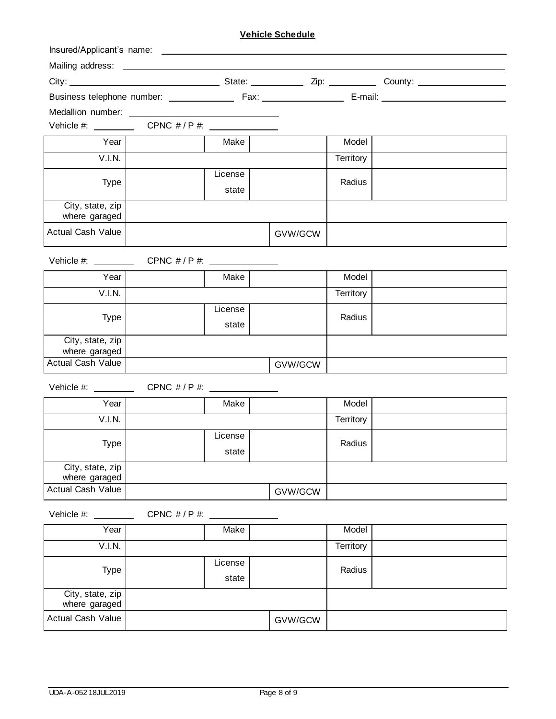# **Vehicle Schedule**

| Medallion number: ______________          |                                    |         |         |           |  |
|-------------------------------------------|------------------------------------|---------|---------|-----------|--|
|                                           |                                    |         |         |           |  |
| Year                                      |                                    | Make    |         | Model     |  |
| V.I.N.                                    |                                    |         |         | Territory |  |
| <b>Type</b>                               |                                    | License |         | Radius    |  |
|                                           |                                    | state   |         |           |  |
| City, state, zip                          |                                    |         |         |           |  |
| where garaged                             |                                    |         |         |           |  |
| <b>Actual Cash Value</b>                  |                                    |         | GVW/GCW |           |  |
| Vehicle #: $\_\_$                         | CPNC $\# / P \#:$ ________________ |         |         |           |  |
| Year                                      |                                    | Make    |         | Model     |  |
| V.I.N.                                    |                                    |         |         | Territory |  |
|                                           |                                    | License |         | Radius    |  |
| <b>Type</b>                               |                                    | state   |         |           |  |
| City, state, zip<br>where garaged         |                                    |         |         |           |  |
| <b>Actual Cash Value</b>                  |                                    |         | GVW/GCW |           |  |
| Vehicle #: $\_\_$                         |                                    |         |         |           |  |
| Year                                      |                                    | Make    |         | Model     |  |
| V.I.N.                                    |                                    |         |         | Territory |  |
|                                           |                                    | License |         |           |  |
| Type                                      |                                    | state   |         | Radius    |  |
| City, state, zip                          |                                    |         |         |           |  |
| where garaged<br><b>Actual Cash Value</b> |                                    |         | GVW/GCW |           |  |
|                                           |                                    |         |         |           |  |
| Vehicle #: $\_\_$                         |                                    |         |         |           |  |
| Year                                      |                                    | Make    |         | Model     |  |
| V.I.N.                                    |                                    |         |         | Territory |  |
| <b>Type</b>                               |                                    | License |         | Radius    |  |
|                                           |                                    | state   |         |           |  |
| City, state, zip<br>where garaged         |                                    |         |         |           |  |
| <b>Actual Cash Value</b>                  |                                    |         | GVW/GCW |           |  |